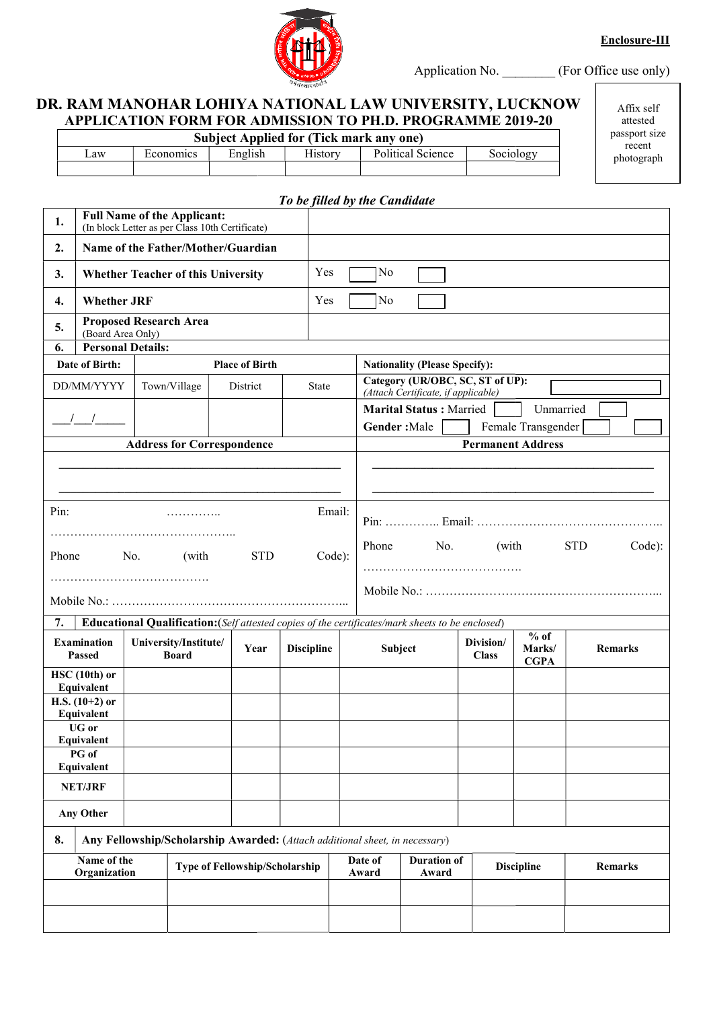Enclosure-III



Application No. \_\_\_\_\_\_\_\_ (For Office use only)

### DR. RAM MANOHAR LOHIYA NATIONAL LAW UNIVERSITY, LUCKNOW DR. RAM APPLICATION FORM FOR ADMISSION TO PH.D. PROGRAMME PROGRAMME 2019 2019-20

|     |           | <b>Subject Applied for (Tick mark any one)</b> |         |                   |           |
|-----|-----------|------------------------------------------------|---------|-------------------|-----------|
| _aw | Economics | English                                        | History | Political Science | Sociology |
|     |           |                                                |         |                   |           |

Affix self attested passport size recent photograph

|                                                               |                                                                                                                                                                                  |                                    |                                                                                                               |                       | To be filled by the Candidate |                  |                                                                                                  |                           |                                 |            |                |        |
|---------------------------------------------------------------|----------------------------------------------------------------------------------------------------------------------------------------------------------------------------------|------------------------------------|---------------------------------------------------------------------------------------------------------------|-----------------------|-------------------------------|------------------|--------------------------------------------------------------------------------------------------|---------------------------|---------------------------------|------------|----------------|--------|
| 1.                                                            |                                                                                                                                                                                  | <b>Full Name of the Applicant:</b> | (In block Letter as per Class 10th Certificate)                                                               |                       |                               |                  |                                                                                                  |                           |                                 |            |                |        |
| 2.                                                            |                                                                                                                                                                                  |                                    | Name of the Father/Mother/Guardian                                                                            |                       |                               |                  |                                                                                                  |                           |                                 |            |                |        |
| 3.                                                            |                                                                                                                                                                                  |                                    | <b>Whether Teacher of this University</b>                                                                     |                       | Yes                           | No               |                                                                                                  |                           |                                 |            |                |        |
| $\overline{4}$ .                                              | <b>Whether JRF</b>                                                                                                                                                               |                                    |                                                                                                               |                       | Yes                           | No               |                                                                                                  |                           |                                 |            |                |        |
| 5.                                                            | (Board Area Only)                                                                                                                                                                | <b>Proposed Research Area</b>      |                                                                                                               |                       |                               |                  |                                                                                                  |                           |                                 |            |                |        |
| 6.                                                            | <b>Personal Details:</b>                                                                                                                                                         |                                    |                                                                                                               |                       |                               |                  |                                                                                                  |                           |                                 |            |                |        |
|                                                               | Date of Birth:                                                                                                                                                                   |                                    |                                                                                                               | <b>Place of Birth</b> |                               |                  | <b>Nationality (Please Specify):</b>                                                             |                           |                                 |            |                |        |
|                                                               | DD/MM/YYYY                                                                                                                                                                       | Town/Village                       |                                                                                                               | District              | <b>State</b>                  |                  | Category (UR/OBC, SC, ST of UP):<br>(Attach Certificate, if applicable)                          |                           |                                 |            |                |        |
|                                                               |                                                                                                                                                                                  |                                    |                                                                                                               |                       |                               |                  | <b>Marital Status: Married</b>                                                                   |                           | Unmarried                       |            |                |        |
|                                                               | $\frac{1}{2}$                                                                                                                                                                    |                                    |                                                                                                               |                       |                               | Gender: Male     |                                                                                                  |                           | Female Transgender              |            |                |        |
| <b>Permanent Address</b><br><b>Address for Correspondence</b> |                                                                                                                                                                                  |                                    |                                                                                                               |                       |                               |                  |                                                                                                  |                           |                                 |            |                |        |
| Pin:<br>Phone<br>7.                                           |                                                                                                                                                                                  | No.                                | (with                                                                                                         | <b>STD</b>            | Email:<br>Code):              | Phone            | No.                                                                                              | (with                     |                                 | <b>STD</b> |                | Code): |
|                                                               |                                                                                                                                                                                  |                                    |                                                                                                               |                       |                               |                  |                                                                                                  |                           |                                 |            |                |        |
|                                                               | <b>Examination</b><br><b>Passed</b>                                                                                                                                              |                                    | University/Institute/<br><b>Board</b>                                                                         | Year                  | <b>Discipline</b>             | Subject          | Educational Qualification: (Self attested copies of the certificates/mark sheets to be enclosed) | Division/<br><b>Class</b> | $%$ of<br>Marks/<br><b>CGPA</b> |            | <b>Remarks</b> |        |
| 8.                                                            | HSC (10th) or<br>Equivalent<br>H.S. $(10+2)$ or<br>Equivalent<br>UG or<br>Equivalent<br>PG of<br>Equivalent<br><b>NET/JRF</b><br><b>Any Other</b><br>Name of the<br>Organization |                                    | Any Fellowship/Scholarship Awarded: (Attach additional sheet, in necessary)<br>Type of Fellowship/Scholarship |                       |                               | Date of<br>Award | <b>Duration of</b><br>Award                                                                      |                           | <b>Discipline</b>               |            | Remarks        |        |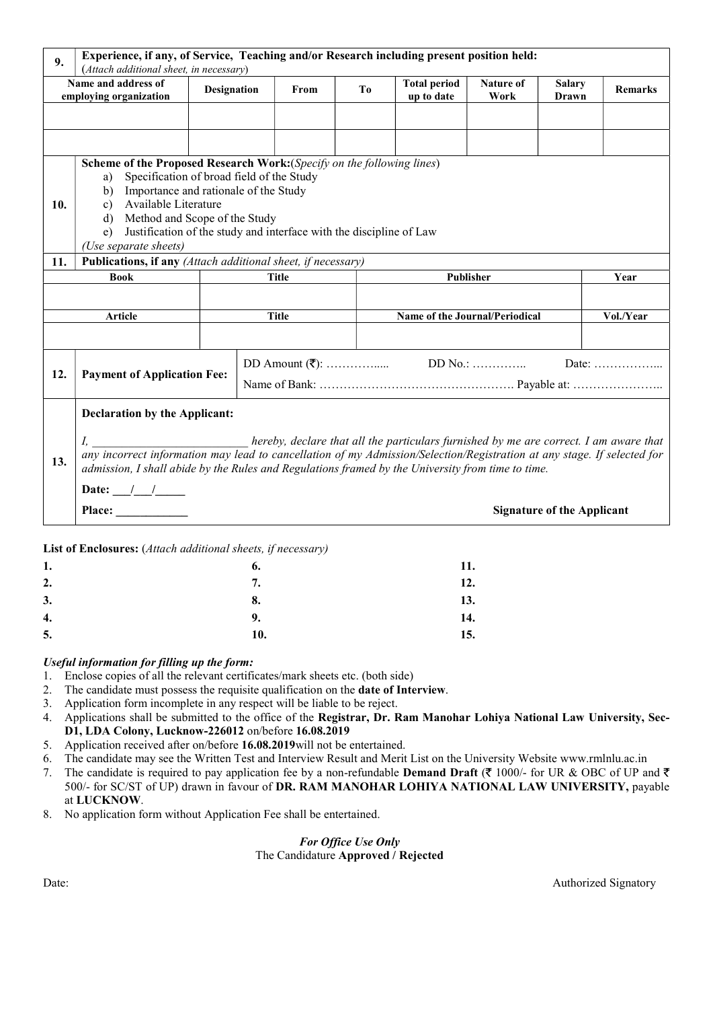| 9.  | Experience, if any, of Service, Teaching and/or Research including present position held:<br>(Attach additional sheet, in necessary)                                                                                                                                                                                                                |                    |    |              |    |                                                                                       |                   |                                   |                |
|-----|-----------------------------------------------------------------------------------------------------------------------------------------------------------------------------------------------------------------------------------------------------------------------------------------------------------------------------------------------------|--------------------|----|--------------|----|---------------------------------------------------------------------------------------|-------------------|-----------------------------------|----------------|
|     | Name and address of<br>employing organization                                                                                                                                                                                                                                                                                                       | <b>Designation</b> |    | From         | To | <b>Total period</b><br>up to date                                                     | Nature of<br>Work | <b>Salary</b><br>Drawn            | <b>Remarks</b> |
|     |                                                                                                                                                                                                                                                                                                                                                     |                    |    |              |    |                                                                                       |                   |                                   |                |
|     |                                                                                                                                                                                                                                                                                                                                                     |                    |    |              |    |                                                                                       |                   |                                   |                |
| 10. | Scheme of the Proposed Research Work: (Specify on the following lines)<br>Specification of broad field of the Study<br>a)<br>Importance and rationale of the Study<br>b)<br>Available Literature<br>c)<br>Method and Scope of the Study<br>d)<br>Justification of the study and interface with the discipline of Law<br>e)<br>(Use separate sheets) |                    |    |              |    |                                                                                       |                   |                                   |                |
| 11. | Publications, if any (Attach additional sheet, if necessary)                                                                                                                                                                                                                                                                                        |                    |    |              |    |                                                                                       |                   |                                   |                |
|     | <b>Book</b>                                                                                                                                                                                                                                                                                                                                         |                    |    | <b>Title</b> |    |                                                                                       | Publisher         |                                   | Year           |
|     |                                                                                                                                                                                                                                                                                                                                                     |                    |    |              |    |                                                                                       |                   |                                   |                |
|     | Article                                                                                                                                                                                                                                                                                                                                             |                    |    | <b>Title</b> |    | Name of the Journal/Periodical                                                        |                   |                                   | Vol./Year      |
|     |                                                                                                                                                                                                                                                                                                                                                     |                    |    |              |    |                                                                                       |                   |                                   | Date:          |
| 12. | <b>Payment of Application Fee:</b>                                                                                                                                                                                                                                                                                                                  |                    |    |              |    |                                                                                       |                   |                                   |                |
|     | <b>Declaration by the Applicant:</b>                                                                                                                                                                                                                                                                                                                |                    |    |              |    |                                                                                       |                   |                                   |                |
| 13. | $I_{\rm s}$<br>any incorrect information may lead to cancellation of my Admission/Selection/Registration at any stage. If selected for<br>admission, I shall abide by the Rules and Regulations framed by the University from time to time.                                                                                                         |                    |    |              |    | hereby, declare that all the particulars furnished by me are correct. I am aware that |                   |                                   |                |
|     | Date: $\frac{1}{\sqrt{2}}$                                                                                                                                                                                                                                                                                                                          |                    |    |              |    |                                                                                       |                   |                                   |                |
|     | Place:                                                                                                                                                                                                                                                                                                                                              |                    |    |              |    |                                                                                       |                   | <b>Signature of the Applicant</b> |                |
|     | List of Enclosures: (Attach additional sheets, if necessary)                                                                                                                                                                                                                                                                                        |                    |    |              |    |                                                                                       |                   |                                   |                |
| 1.  |                                                                                                                                                                                                                                                                                                                                                     |                    | 6. |              |    | 11.                                                                                   |                   |                                   |                |
| 2.  |                                                                                                                                                                                                                                                                                                                                                     |                    | 7. |              |    |                                                                                       | 12.               |                                   |                |

| 2. | $\overline{\phantom{a}}$ | 12. |
|----|--------------------------|-----|
| 3. | 8.                       | 13. |
| 4. | 9.                       | 14. |
| 5. | <b>10.</b>               | 15. |

#### Useful information for filling up the form:

- 1. Enclose copies of all the relevant certificates/mark sheets etc. (both side)
- 2. The candidate must possess the requisite qualification on the date of Interview.
- 3. Application form incomplete in any respect will be liable to be reject.
- 4. Applications shall be submitted to the office of the Registrar, Dr. Ram Manohar Lohiya National Law University, Sec-D1, LDA Colony, Lucknow-226012 on/before 16.08.2019
- 5. Application received after on/before 16.08.2019will not be entertained.
- 6. The candidate may see the Written Test and Interview Result and Merit List on the University Website www.rmlnlu.ac.in
- 7. The candidate is required to pay application fee by a non-refundable **Demand Draft** ( $\bar{\tau}$  1000/- for UR & OBC of UP and  $\bar{\tau}$ 500/- for SC/ST of UP) drawn in favour of DR. RAM MANOHAR LOHIYA NATIONAL LAW UNIVERSITY, payable at LUCKNOW.
- 8. No application form without Application Fee shall be entertained.

#### For Office Use Only The Candidature Approved / Rejected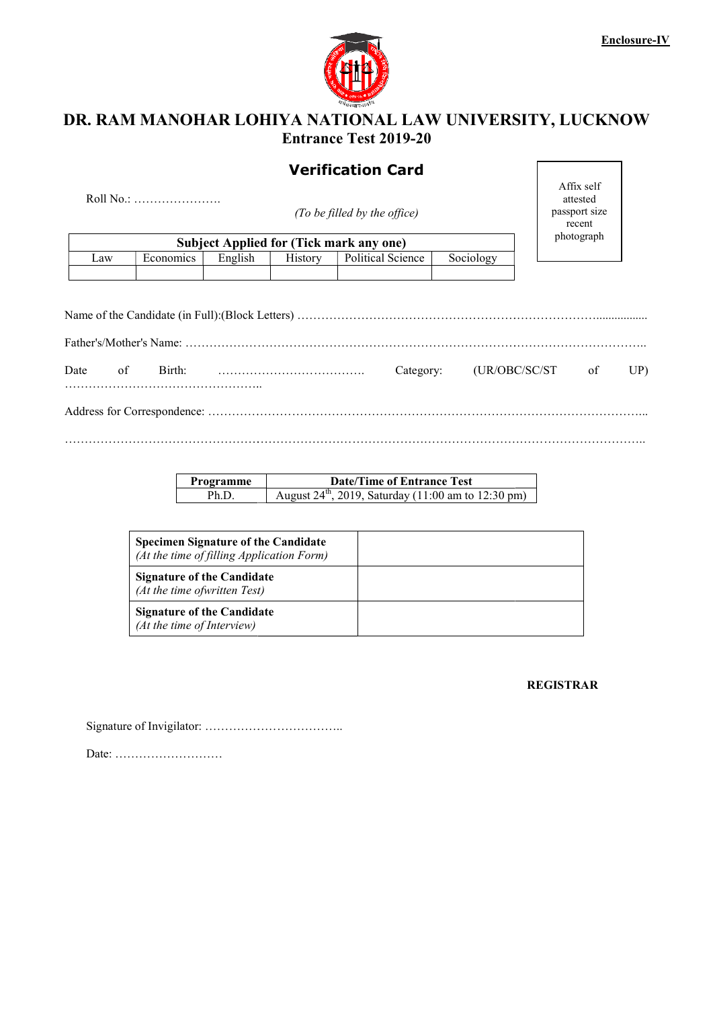

## DR. RAM MANOHAR LOHIYA NATIONAL LAW UNIVERSITY, LUCKNOW Entrance Test 2019-20

# Verification Card

| Subject Applied for (Tick mark any one) |           |         |         |                   |           |  |  |
|-----------------------------------------|-----------|---------|---------|-------------------|-----------|--|--|
| Law                                     | Economics | English | History | Political Science | Sociology |  |  |
|                                         |           |         |         |                   |           |  |  |

| Affix self    |
|---------------|
| attested      |
| passport size |
| recent        |
| photograph    |
|               |

|                                           |           |                    |         | <b>Verification Card</b>                                                                      |           |                                                   |  |
|-------------------------------------------|-----------|--------------------|---------|-----------------------------------------------------------------------------------------------|-----------|---------------------------------------------------|--|
| Roll No.:<br>(To be filled by the office) |           |                    |         |                                                                                               |           | Affix self<br>attested<br>passport size<br>recent |  |
|                                           |           |                    |         | <b>Subject Applied for (Tick mark any one)</b>                                                |           | photograph                                        |  |
| Law                                       | Economics | English            | History | Political Science                                                                             | Sociology |                                                   |  |
| of                                        | Birth:    |                    |         | Category:                                                                                     |           | (UR/OBC/SC/ST<br>of                               |  |
|                                           |           |                    |         |                                                                                               |           |                                                   |  |
| Date                                      |           |                    |         |                                                                                               |           |                                                   |  |
|                                           |           | Programme<br>Ph.D. |         | <b>Date/Time of Entrance Test</b><br>August $24^{th}$ , 2019, Saturday (11:00 am to 12:30 pm) |           |                                                   |  |

| Programme | <b>Date/Time of Entrance Test</b>                               |
|-----------|-----------------------------------------------------------------|
| Ph.D      | August $24^{\text{th}}$ , 2019, Saturday (11:00 am to 12:30 pm) |

| <b>Specimen Signature of the Candidate</b><br>(At the time of filling Application Form) |  |
|-----------------------------------------------------------------------------------------|--|
| <b>Signature of the Candidate</b><br>(At the time of written Test)                      |  |
| <b>Signature of the Candidate</b><br>(At the time of Interview)                         |  |

REGISTRAR

Signature of Invigilator: ……………………………..

Date: ………………………